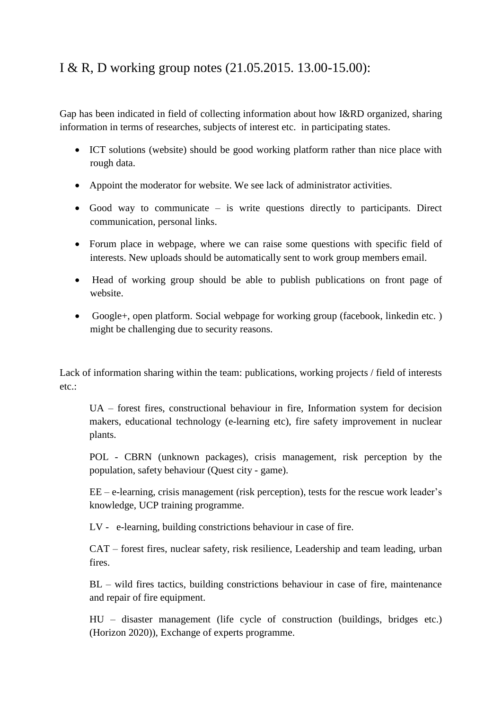## I & R, D working group notes (21.05.2015. 13.00-15.00):

Gap has been indicated in field of collecting information about how I&RD organized, sharing information in terms of researches, subjects of interest etc. in participating states.

- ICT solutions (website) should be good working platform rather than nice place with rough data.
- Appoint the moderator for website. We see lack of administrator activities.
- $\bullet$  Good way to communicate is write questions directly to participants. Direct communication, personal links.
- Forum place in webpage, where we can raise some questions with specific field of interests. New uploads should be automatically sent to work group members email.
- Head of working group should be able to publish publications on front page of website.
- Google+, open platform. Social webpage for working group (facebook, linkedin etc. ) might be challenging due to security reasons.

Lack of information sharing within the team: publications, working projects / field of interests  $etc.$ 

UA – forest fires, constructional behaviour in fire, Information system for decision makers, educational technology (e-learning etc), fire safety improvement in nuclear plants.

POL - CBRN (unknown packages), crisis management, risk perception by the population, safety behaviour (Quest city - game).

EE – e-learning, crisis management (risk perception), tests for the rescue work leader's knowledge, UCP training programme.

LV - e-learning, building constrictions behaviour in case of fire.

CAT – forest fires, nuclear safety, risk resilience, Leadership and team leading, urban fires.

BL – wild fires tactics, building constrictions behaviour in case of fire, maintenance and repair of fire equipment.

HU – disaster management (life cycle of construction (buildings, bridges etc.) (Horizon 2020)), Exchange of experts programme.